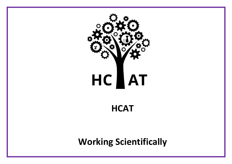

# **HCAT**

**Working Scientifically**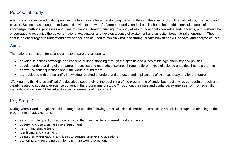#### Purpose of study

A high-quality science education provides the foundations for understanding the world through the specific disciplines of biology, chemistry and physics. Science has changed our lives and is vital to the world's future prosperity, and all pupils should be taught essential aspects of the knowledge, methods, processes and uses of science. Through building up a body of key foundational knowledge and concepts, pupils should be encouraged to recognise the power of rational explanation and develop a sense of excitement and curiosity about natural phenomena. They should be encouraged to understand how science can be used to explain what is occurring, predict how things will behave, and analyse causes.

#### Aims

The national curriculum for science aims to ensure that all pupils:

- develop scientific knowledge and conceptual understanding through the specific disciplines of biology, chemistry and physics
- develop understanding of the nature, processes and methods of science through different types of science enquiries that help them to answer scientific questions about the world around them
- are equipped with the scientific knowledge required to understand the uses and implications of science, today and for the future.

'Working and thinking scientifically' is described separately at the beginning of the programme of study, but must always be taught through and clearly related to substantive science content in the programme of study. Throughout the notes and guidance, examples show how scientific methods and skills might be linked to specific elements of the content

#### Key Stage 1

During years 1 and 2, pupils should be taught to use the following practical scientific methods, processes and skills through the teaching of the programme of study content:

- asking simple questions and recognising that they can be answered in different ways
- observing closely, using simple equipment
- performing simple tests
- identifying and classifying
- using their observations and ideas to suggest answers to questions
- gathering and recording data to help in answering questions.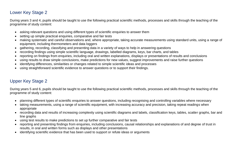#### Lower Key Stage 2

During years 3 and 4, pupils should be taught to use the following practical scientific methods, processes and skills through the teaching of the programme of study content:

- asking relevant questions and using different types of scientific enquiries to answer them
- setting up simple practical enquiries, comparative and fair tests
- making systematic and careful observations and, where appropriate, taking accurate measurements using standard units, using a range of equipment, including thermometers and data loggers
- gathering, recording, classifying and presenting data in a variety of ways to help in answering questions
- recording findings using simple scientific language, drawings, labelled diagrams, keys, bar charts, and tables
- reporting on findings from enquiries, including oral and written explanations, displays or presentations of results and conclusions
- using results to draw simple conclusions, make predictions for new values, suggest improvements and raise further questions
- identifying differences, similarities or changes related to simple scientific ideas and processes
- using straightforward scientific evidence to answer questions or to support their findings.

### Upper Key Stage 2

During years 5 and 6, pupils should be taught to use the following practical scientific methods, processes and skills through the teaching of the programme of study content:

- planning different types of scientific enquiries to answer questions, including recognising and controlling variables where necessary
- taking measurements, using a range of scientific equipment, with increasing accuracy and precision, taking repeat readings when appropriate
- recording data and results of increasing complexity using scientific diagrams and labels, classification keys, tables, scatter graphs, bar and line graphs
- using test results to make predictions to set up further comparative and fair tests
- reporting and presenting findings from enquiries, including conclusions, causal relationships and explanations of and degree of trust in results, in oral and written forms such as displays and other presentations
- identifying scientific evidence that has been used to support or refute ideas or arguments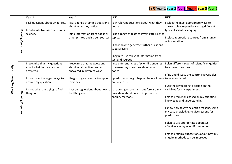## EYFS Year 1 Year 2 Year 2 Year 4 Year 5 Year 6

|                        |           | Year 1                                                                | Year <sub>2</sub>                                                                       | LKS <sub>2</sub>                                                                                 | UKS2                                                                                                           |
|------------------------|-----------|-----------------------------------------------------------------------|-----------------------------------------------------------------------------------------|--------------------------------------------------------------------------------------------------|----------------------------------------------------------------------------------------------------------------|
|                        |           | ask questions about what I see.<br>contribute to class discussion in  | ask a range of simple questions<br>about what they notice                               | ask relevant questions about what they<br>notice                                                 | select the most appropriate ways to<br>answer science questions using different<br>types of scientific enquiry |
|                        | Framing   | science.                                                              | I find information from books or<br>other printed and screen sources                    | use a range of texts to investigate science<br>topics.<br>know how to generate further questions | select appropriate sources from a range<br>of information                                                      |
|                        | Questions |                                                                       |                                                                                         | to test results.                                                                                 |                                                                                                                |
|                        |           |                                                                       |                                                                                         | begin to use relevant information from<br>text and sources.                                      |                                                                                                                |
|                        |           | recognise that my questions<br>about what I notice can be<br>answered | recognise that my questions<br>about what I notice can be<br>answered in different ways | use different types of scientific enquires<br>to answer my questions about what I<br>notice      | plan different types of scientific enquiries<br>to answer questions.                                           |
| Working Scientifically |           | know how to suggest ways to                                           | I begin to give reasons to support $\parallel$                                          | predict what might happen before I carry to be considered                                        | If ind and discuss the controlling variables                                                                   |
|                        |           | answer my question.                                                   | my ideas                                                                                | out any tests.                                                                                   | use the key factors to decide on the                                                                           |
|                        | Planning  | know why I am trying to find<br>things out.                           | act on suggestions about how to<br>find things out                                      | act on suggestions and put forward my<br>own ideas about how to improve my<br>enquiry methods    | variables for my experiment<br>I make predictions based on my scientific                                       |
|                        |           |                                                                       |                                                                                         |                                                                                                  | knowledge and understanding                                                                                    |
|                        | Enquiries |                                                                       |                                                                                         |                                                                                                  | I know how to give scientific reasons, using<br>my past knowledge, to give reasons for<br>predictions          |
|                        |           |                                                                       |                                                                                         |                                                                                                  | plan to use appropriate apparatus<br>effectively in my scientific enquiries                                    |
|                        |           |                                                                       |                                                                                         |                                                                                                  | I make practical suggestions about how my<br>enquiry methods can be improved                                   |
|                        |           |                                                                       |                                                                                         |                                                                                                  |                                                                                                                |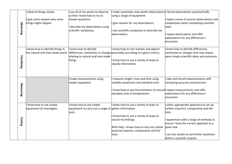|                    | observe things closely                                           | use all of my senses to observe                                                                             | I make systematic and careful observations record observations systematically                                                                                                                           |                                                                                                                                                                                                                                                                          |
|--------------------|------------------------------------------------------------------|-------------------------------------------------------------------------------------------------------------|---------------------------------------------------------------------------------------------------------------------------------------------------------------------------------------------------------|--------------------------------------------------------------------------------------------------------------------------------------------------------------------------------------------------------------------------------------------------------------------------|
| Observing          | give some reasons why some<br>things might happen.               | so that I know how to try to<br>answer questions<br>describe my observations using<br>scientific vocabulary | using a range of equipment<br>give reasons for my observations.<br>use scientific vocabulary to describe my<br>lobservations.                                                                           | make a series of precise observations and<br>comparisons when completing scientific<br>tasks<br>repeat observations and offer<br>explanations for any differences I<br>encounter                                                                                         |
| <b>Classifying</b> | know how to identify things in<br>the natural and man-made world | know how to identify<br>relating to natural and man-made<br>things.                                         | know how to sort animals and objects<br>differences, similarities or changes accurately according to a given criteria.<br>know how to use a variety of ways to<br>classify information.                 | know how to identify differences,<br>similarities or changes that may impact<br>upon simple scientific ideas and processes                                                                                                                                               |
| Measuring          |                                                                  | make measurements using<br>simple equipment                                                                 | measure length, mass and time using<br>suitable equipment and standard units<br>know how to use thermometers to record repeat measurements and offer<br>standard units of temperature.                  | take and record measurements with<br>increasing accuracy and precision<br>explanations for any differences I<br>encounter                                                                                                                                                |
| Testing            | know how to use simple<br>equipment to investigate.              | know how to use simple<br>equipment to carry out a range of gather information.<br>tests                    | know how to use a variety of ways to<br>I know how to use a variety of ways to<br>record my findings.<br>With help, I know how to carry out simple<br>practical enquires, comparative and fair<br>tests | select appropriate apparatus to set up<br>further enquiries, comparative and fair<br>tests<br>experiment with a range of methods to<br>ensure I have the correct approach to a<br>given task<br>use test results to ask further questions<br>within a scientific enquiry |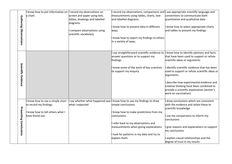|                               |                            | know how to put information on $\parallel$ record my observations on |                               | record my observations, comparisons and luse appropriate scientific language and     |                                               |
|-------------------------------|----------------------------|----------------------------------------------------------------------|-------------------------------|--------------------------------------------------------------------------------------|-----------------------------------------------|
|                               |                            | a chart.                                                             | screen and paper using text,  | measurements using tables, charts, text                                              | conventions to communicate both               |
|                               |                            |                                                                      | tables, drawings and labelled | and labelled diagrams.                                                               | quantitative and qualitative data             |
|                               |                            |                                                                      | diagrams                      |                                                                                      |                                               |
|                               |                            |                                                                      |                               | I know how to present data in different                                              | I know how to select appropriate charts       |
|                               |                            |                                                                      | compare observations using    | ways.                                                                                | and tables to present my findings             |
|                               |                            |                                                                      | scientific vocabulary         |                                                                                      |                                               |
|                               |                            |                                                                      |                               | know how to report my findings to others                                             |                                               |
|                               | Gathering Observations     |                                                                      |                               | in a variety of ways.                                                                |                                               |
|                               |                            |                                                                      |                               |                                                                                      |                                               |
|                               |                            |                                                                      |                               |                                                                                      |                                               |
|                               |                            |                                                                      |                               | use straightforward scientific evidence to   know how to identify opinions and facts |                                               |
|                               |                            |                                                                      |                               | answer questions or to support my                                                    | that have been used to support or refute      |
|                               |                            |                                                                      |                               | findings.                                                                            | scientific ideas or arguments                 |
|                               |                            |                                                                      |                               |                                                                                      |                                               |
|                               |                            |                                                                      |                               | know some of the work of key scientists                                              | identify scientific evidence that has been    |
|                               |                            |                                                                      |                               | to support my enquiry                                                                | used to support or refute scientific ideas or |
|                               |                            |                                                                      |                               |                                                                                      | arguments.                                    |
|                               | <b>Scientific Evidence</b> |                                                                      |                               |                                                                                      |                                               |
|                               |                            |                                                                      |                               |                                                                                      | describe how experimental evidence and        |
|                               |                            |                                                                      |                               |                                                                                      | creative thinking have been combined to       |
|                               |                            |                                                                      |                               |                                                                                      | provide a scientific explanation (Jenner's    |
|                               |                            |                                                                      |                               |                                                                                      | work on vaccination)                          |
|                               |                            | know how to use a simple chart                                       |                               | say whether what happened was $\parallel$ know how to use my findings to draw        | draw conclusions which are consistent         |
|                               |                            | to record my findings.                                               | what I expected               | simple conclusions.                                                                  | with the evidence and relate these to         |
|                               |                            |                                                                      |                               |                                                                                      | scientific knowledge                          |
|                               |                            | know how to tell others what I                                       |                               | know how to make predictions from my                                                 |                                               |
| <b>Presenting Conclusions</b> |                            | have found out.                                                      |                               | conclusions.                                                                         | use my comparisons to inform my               |
|                               |                            |                                                                      |                               |                                                                                      | conclusions                                   |
|                               |                            |                                                                      |                               | refer back to my observations and                                                    |                                               |
|                               |                            |                                                                      |                               | measurements when giving explanations                                                | give reasons and explanations to support      |
|                               |                            |                                                                      |                               |                                                                                      | my conclusions                                |
|                               |                            |                                                                      |                               | look for patterns in my data and try to                                              |                                               |
|                               |                            |                                                                      |                               | explain them.                                                                        | explain casual relationships and the          |
|                               |                            |                                                                      |                               |                                                                                      | degree of trust in my results                 |